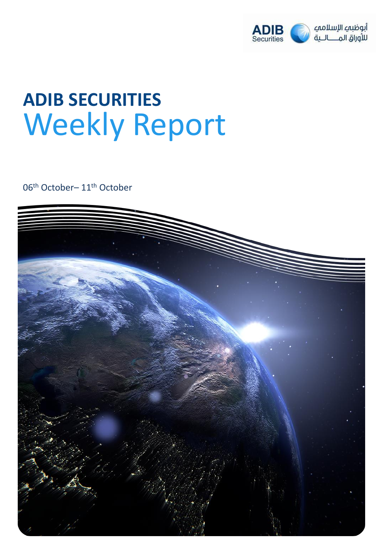

## **ADIB SECURITIES** Weekly Report

06th October– 11th October

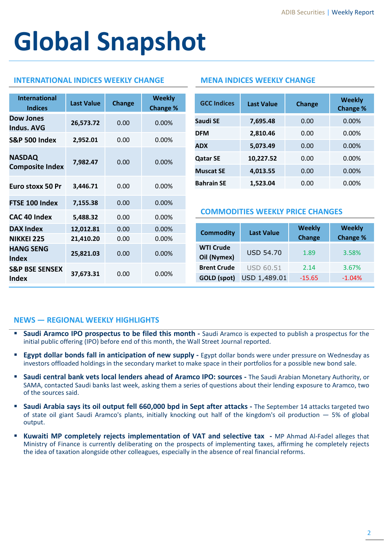# **Global Snapshot**

### **INTERNATIONAL INDICES WEEKLY CHANGE MENA INDICES WEEKLY CHANGE**

| <b>International</b><br><b>Indices</b>  | <b>Last Value</b> | Change | <b>Weekly</b><br><b>Change %</b> |
|-----------------------------------------|-------------------|--------|----------------------------------|
| <b>Dow Jones</b><br>Indus, AVG          | 26,573.72         | 0.00   | 0.00%                            |
| <b>S&amp;P 500 Index</b>                | 2,952.01          | 0.00   | $0.00\%$                         |
| <b>NASDAQ</b><br><b>Composite Index</b> | 7,982.47          | 0.00   | 0.00%                            |
| Euro stoxx 50 Pr                        | 3,446.71          | 0.00   | $0.00\%$                         |
| FTSE 100 Index                          | 7,155.38          | 0.00   | 0.00%                            |
| <b>CAC 40 Index</b>                     | 5,488.32          | 0.00   | $0.00\%$                         |
| <b>DAX Index</b>                        | 12,012.81         | 0.00   | 0.00%                            |
| <b>NIKKEI 225</b>                       | 21,410.20         | 0.00   | 0.00%                            |
| <b>HANG SENG</b><br>Index               | 25,821.03         | 0.00   | 0.00%                            |
| <b>S&amp;P BSE SENSEX</b><br>Index      | 37,673.31         | 0.00   | $0.00\%$                         |

| <b>GCC Indices</b> | <b>Last Value</b> | <b>Change</b> | <b>Weekly</b><br>Change % |
|--------------------|-------------------|---------------|---------------------------|
| Saudi SE           | 7,695.48          | 0.00          | 0.00%                     |
| <b>DFM</b>         | 2,810.46          | 0.00          | $0.00\%$                  |
| <b>ADX</b>         | 5,073.49          | 0.00          | 0.00%                     |
| <b>Qatar SE</b>    | 10,227.52         | 0.00          | $0.00\%$                  |
| <b>Muscat SE</b>   | 4,013.55          | 0.00          | 0.00%                     |
| <b>Bahrain SE</b>  | 1.523.04          | 0.00          | $0.00\%$                  |

#### **COMMODITIES WEEKLY PRICE CHANGES**

| <b>Commodity</b>                | <b>Last Value</b> | <b>Weekly</b><br><b>Change</b> | <b>Weekly</b><br>Change % |  |  |
|---------------------------------|-------------------|--------------------------------|---------------------------|--|--|
| <b>WTI Crude</b><br>Oil (Nymex) | <b>USD 54.70</b>  | 1.89                           | 3.58%                     |  |  |
| <b>Brent Crude</b>              | <b>USD 60.51</b>  | 2.14                           | 3.67%                     |  |  |
| <b>GOLD</b> (spot)              | USD 1,489.01      | $-15.65$                       | $-1.04%$                  |  |  |

#### **NEWS — REGIONAL WEEKLY HIGHLIGHTS**

- **Saudi Aramco IPO prospectus to be filed this month -** Saudi Aramco is expected to publish a prospectus for the initial public offering (IPO) before end of this month, the Wall Street Journal reported.
- **Egypt dollar bonds fall in anticipation of new supply -** Egypt dollar bonds were under pressure on Wednesday as investors offloaded holdings in the secondary market to make space in their portfolios for a possible new bond sale.
- **Saudi central bank vets local lenders ahead of Aramco IPO: sources -** The Saudi Arabian Monetary Authority, or SAMA, contacted Saudi banks last week, asking them a series of questions about their lending exposure to Aramco, two of the sources said.
- **Saudi Arabia says its oil output fell 660,000 bpd in Sept after attacks -** The September 14 attacks targeted two of state oil giant Saudi Aramco's plants, initially knocking out half of the kingdom's oil production — 5% of global output.
- **Kuwaiti MP completely rejects implementation of VAT and selective tax -** MP Ahmad Al-Fadel alleges that Ministry of Finance is currently deliberating on the prospects of implementing taxes, affirming he completely rejects the idea of taxation alongside other colleagues, especially in the absence of real financial reforms.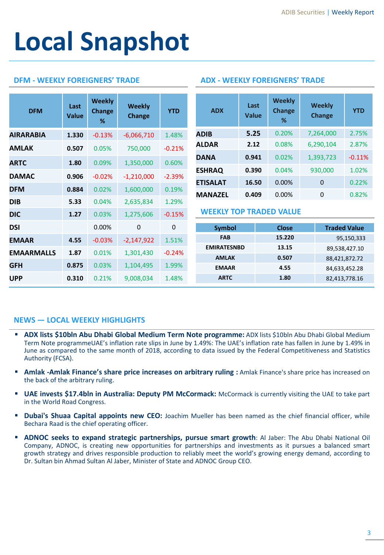## **Local Snapshot**

### **DFM - WEEKLY FOREIGNERS' TRADE ADX - WEEKLY FOREIGNERS' TRADE**

| <b>DFM</b>        | Last<br><b>Value</b> | <b>Weekly</b><br><b>Change</b><br>% | Weekly<br><b>Change</b> | <b>YTD</b>   |                                | <b>ADX</b>               | Last<br><b>Value</b> |        | <b>Weekly</b><br><b>Change</b><br>% |               | <b>Weekly</b><br>Change | <b>YTD</b>          |
|-------------------|----------------------|-------------------------------------|-------------------------|--------------|--------------------------------|--------------------------|----------------------|--------|-------------------------------------|---------------|-------------------------|---------------------|
| <b>AIRARABIA</b>  | 1.330                | $-0.13%$                            | $-6,066,710$            | 1.48%        |                                | <b>ADIB</b>              | 5.25                 |        | 0.20%                               |               | 7,264,000               | 2.75%               |
| <b>AMLAK</b>      | 0.507                | 0.05%                               | 750,000                 | $-0.21%$     |                                | <b>ALDAR</b>             | 2.12                 |        | 0.08%                               |               | 6,290,104               | 2.87%               |
| <b>ARTC</b>       | 1.80                 | 0.09%                               | 1,350,000               | 0.60%        |                                | <b>DANA</b>              | 0.941                |        | 0.02%                               |               | 1,393,723               | $-0.11%$            |
|                   |                      |                                     |                         |              |                                | <b>ESHRAQ</b><br>0.390   |                      |        | 0.04%                               |               | 930,000                 | 1.02%               |
| <b>DAMAC</b>      | 0.906                | $-0.02%$                            | $-1,210,000$            | $-2.39%$     |                                | <b>ETISALAT</b><br>16.50 |                      | 0.00%  |                                     |               | $\mathbf 0$             | 0.22%               |
| <b>DFM</b>        | 0.884                | 0.02%                               | 1,600,000               | 0.19%        |                                | 0.409<br><b>MANAZEL</b>  |                      |        | 0.00%                               |               | $\mathbf 0$             | 0.82%               |
| <b>DIB</b>        | 5.33                 | 0.04%                               | 2,635,834               | 1.29%        |                                |                          |                      |        |                                     |               |                         |                     |
| <b>DIC</b>        | 1.27                 | 0.03%                               | 1,275,606               | $-0.15%$     | <b>WEEKLY TOP TRADED VALUE</b> |                          |                      |        |                                     |               |                         |                     |
| <b>DSI</b>        |                      | 0.00%                               | $\mathbf 0$             | $\mathbf{0}$ |                                | <b>Symbol</b>            |                      |        | <b>Close</b>                        |               |                         | <b>Traded Value</b> |
| <b>EMAAR</b>      | 4.55                 | $-0.03%$                            | $-2,147,922$            | 1.51%        |                                | <b>FAB</b>               |                      | 15.220 |                                     |               | 95,150,333              |                     |
| <b>EMAARMALLS</b> | 1.87                 | 0.01%                               | 1,301,430               | $-0.24%$     |                                | <b>EMIRATESNBD</b>       |                      | 13.15  |                                     |               | 89,538,427.10           |                     |
|                   |                      |                                     |                         |              | <b>AMLAK</b>                   |                          |                      | 0.507  |                                     |               | 88,421,872.72           |                     |
| <b>GFH</b>        | 0.875                | 0.03%                               | 1,104,495               | 1.99%        | <b>EMAAR</b>                   |                          | 4.55                 |        |                                     | 84,633,452.28 |                         |                     |
| <b>UPP</b>        | 0.310                | 0.21%                               | 9,008,034               | 1.48%        | <b>ARTC</b>                    |                          |                      | 1.80   |                                     |               | 82,413,778.16           |                     |

### **NEWS — LOCAL WEEKLY HIGHLIGHTS**

- **ADX lists \$10bln Abu Dhabi Global Medium Term Note programme:** ADX lists \$10bln Abu Dhabi Global Medium Term Note programmeUAE's inflation rate slips in June by 1.49%: The UAE's inflation rate has fallen in June by 1.49% in June as compared to the same month of 2018, according to data issued by the Federal Competitiveness and Statistics Authority (FCSA).
- **Amlak -Amlak Finance's share price increases on arbitrary ruling :** Amlak Finance's share price has increased on the back of the arbitrary ruling.
- **UAE invests \$17.4bln in Australia: Deputy PM McCormack:** McCormack is currently visiting the UAE to take part in the World Road Congress.
- **Dubai's Shuaa Capital appoints new CEO:** Joachim Mueller has been named as the chief financial officer, while Bechara Raad is the chief operating officer.
- **ADNOC seeks to expand strategic partnerships, pursue smart growth**: Al Jaber: The Abu Dhabi National Oil Company, ADNOC, is creating new opportunities for partnerships and investments as it pursues a balanced smart growth strategy and drives responsible production to reliably meet the world's growing energy demand, according to Dr. Sultan bin Ahmad Sultan Al Jaber, Minister of State and ADNOC Group CEO.